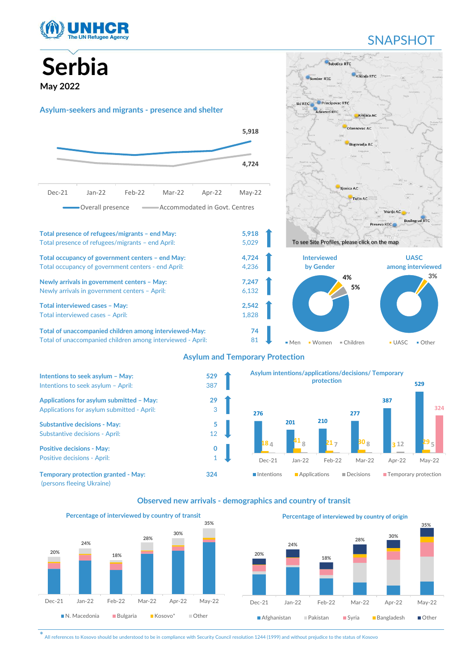

## **SNAPSHOT**

Serbia May 2022 Asylum-seekers and migrants - presence and shelter Total presence of refugees/migrants – end May: 5,918 Total presence of refugees/migrants – end April: 5,029 Total occupancy of government centers – end May:<br>
Total occupancy of government centers - end April:<br>
4,236 **Interviewed** by Gender among interviewed Total occupancy of government centers - end April: 4,236 Newly arrivals in government centers – May: 7,247 Newly arrivals in government centers – April: 6,132 Total interviewed cases – May: 2,542 Total interviewed cases – April: 1,828 Total of unaccompanied children among interviewed-May: 74 Total of unaccompanied children among interviewed - April: 81 Asylum and Temporary Protection **5,918 CONFIDENTIAL CONFIDENTIAL 4,724 And the contract of the contract of the contract of the contract of the contract of the contract of the contract of the contract of the contract of the contract of the contract of the contract of the contract of t** SOPIDIA<br>
Dec-21 Jan-22 Feb-22 Mar-22 Apr-22 May-22<br>
Understand migrants - presence and shelter<br>
Solar Mar-22 Feb-22 Mar-22 Apr-22 May-22<br>
Dec-21 Jan-22 Feb-22 Mar-22 Apr-22 May-22<br>
Dec-21 Jan-22 Feb-22 Mar-22 Apr-22 May-22 Overall presence  $\longrightarrow$  Accommodated in Govt. Centres 3% UASC Other 4% 5% Men Women Children To see Site Profiles, please click on the map



Observed new arrivals - demographics and country of transit



\* All references to Kosovo should be understood to be in compliance with Security Council resolution 1244 (1999) and without prejudice to the status of Kosovo